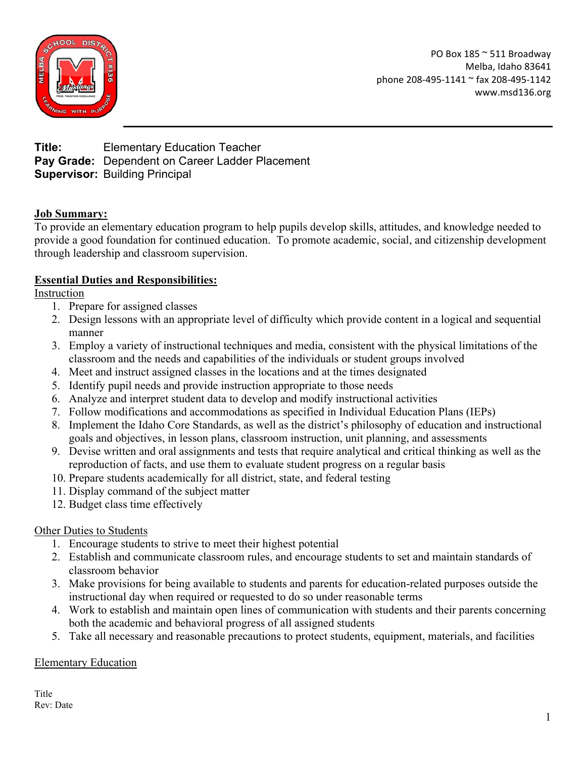

PO Box 185 ~ 511 Broadway Melba, Idaho 83641 phone 208-495-1141 ~ fax 208-495-1142 www.msd136.org

**Title:** Elementary Education Teacher **Pay Grade:** Dependent on Career Ladder Placement **Supervisor:** Building Principal

# **Job Summary:**

To provide an elementary education program to help pupils develop skills, attitudes, and knowledge needed to provide a good foundation for continued education. To promote academic, social, and citizenship development through leadership and classroom supervision.

### **Essential Duties and Responsibilities:**

Instruction

- 1. Prepare for assigned classes
- 2. Design lessons with an appropriate level of difficulty which provide content in a logical and sequential manner
- 3. Employ a variety of instructional techniques and media, consistent with the physical limitations of the classroom and the needs and capabilities of the individuals or student groups involved
- 4. Meet and instruct assigned classes in the locations and at the times designated
- 5. Identify pupil needs and provide instruction appropriate to those needs
- 6. Analyze and interpret student data to develop and modify instructional activities
- 7. Follow modifications and accommodations as specified in Individual Education Plans (IEPs)
- 8. Implement the Idaho Core Standards, as well as the district's philosophy of education and instructional goals and objectives, in lesson plans, classroom instruction, unit planning, and assessments
- 9. Devise written and oral assignments and tests that require analytical and critical thinking as well as the reproduction of facts, and use them to evaluate student progress on a regular basis
- 10. Prepare students academically for all district, state, and federal testing
- 11. Display command of the subject matter
- 12. Budget class time effectively

# Other Duties to Students

- 1. Encourage students to strive to meet their highest potential
- 2. Establish and communicate classroom rules, and encourage students to set and maintain standards of classroom behavior
- 3. Make provisions for being available to students and parents for education-related purposes outside the instructional day when required or requested to do so under reasonable terms
- 4. Work to establish and maintain open lines of communication with students and their parents concerning both the academic and behavioral progress of all assigned students
- 5. Take all necessary and reasonable precautions to protect students, equipment, materials, and facilities

#### Elementary Education

**Title** Rev: Date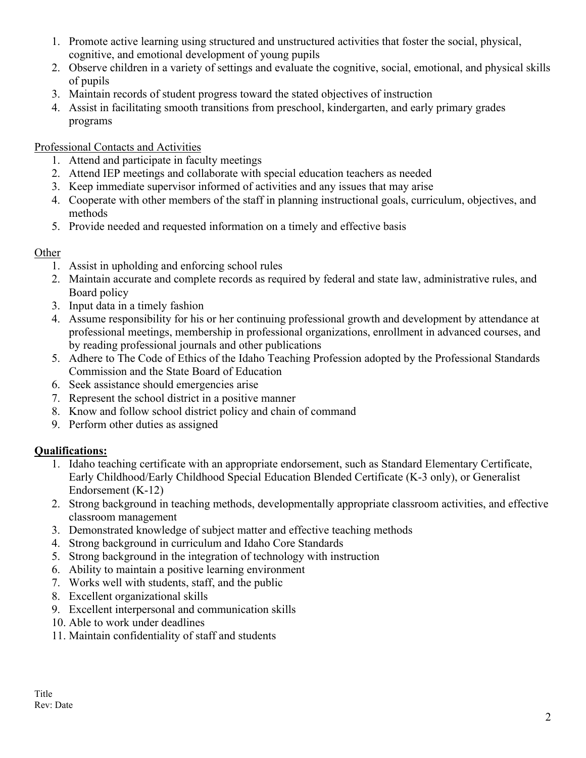- 1. Promote active learning using structured and unstructured activities that foster the social, physical, cognitive, and emotional development of young pupils
- 2. Observe children in a variety of settings and evaluate the cognitive, social, emotional, and physical skills of pupils
- 3. Maintain records of student progress toward the stated objectives of instruction
- 4. Assist in facilitating smooth transitions from preschool, kindergarten, and early primary grades programs

### Professional Contacts and Activities

- 1. Attend and participate in faculty meetings
- 2. Attend IEP meetings and collaborate with special education teachers as needed
- 3. Keep immediate supervisor informed of activities and any issues that may arise
- 4. Cooperate with other members of the staff in planning instructional goals, curriculum, objectives, and methods
- 5. Provide needed and requested information on a timely and effective basis

### **Other**

- 1. Assist in upholding and enforcing school rules
- 2. Maintain accurate and complete records as required by federal and state law, administrative rules, and Board policy
- 3. Input data in a timely fashion
- 4. Assume responsibility for his or her continuing professional growth and development by attendance at professional meetings, membership in professional organizations, enrollment in advanced courses, and by reading professional journals and other publications
- 5. Adhere to The Code of Ethics of the Idaho Teaching Profession adopted by the Professional Standards Commission and the State Board of Education
- 6. Seek assistance should emergencies arise
- 7. Represent the school district in a positive manner
- 8. Know and follow school district policy and chain of command
- 9. Perform other duties as assigned

# **Qualifications:**

- 1. Idaho teaching certificate with an appropriate endorsement, such as Standard Elementary Certificate, Early Childhood/Early Childhood Special Education Blended Certificate (K-3 only), or Generalist Endorsement (K-12)
- 2. Strong background in teaching methods, developmentally appropriate classroom activities, and effective classroom management
- 3. Demonstrated knowledge of subject matter and effective teaching methods
- 4. Strong background in curriculum and Idaho Core Standards
- 5. Strong background in the integration of technology with instruction
- 6. Ability to maintain a positive learning environment
- 7. Works well with students, staff, and the public
- 8. Excellent organizational skills
- 9. Excellent interpersonal and communication skills
- 10. Able to work under deadlines
- 11. Maintain confidentiality of staff and students